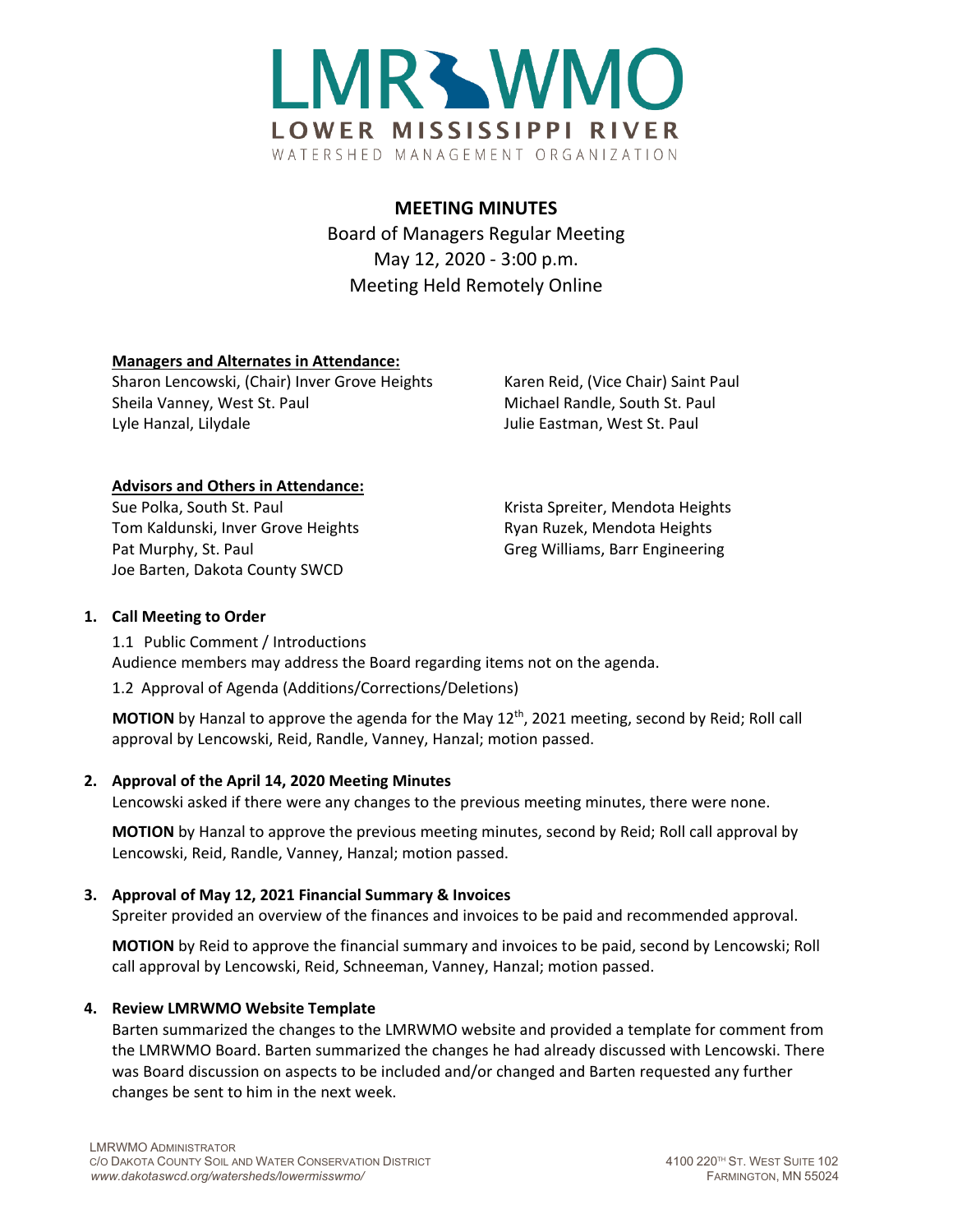

# **MEETING MINUTES**

Board of Managers Regular Meeting May 12, 2020 - 3:00 p.m. Meeting Held Remotely Online

## **Managers and Alternates in Attendance:**

Sharon Lencowski, (Chair) Inver Grove Heights Karen Reid, (Vice Chair) Saint Paul Sheila Vanney, West St. Paul Michael Randle, South St. Paul Lyle Hanzal, Lilydale Julie Eastman, West St. Paul

## **Advisors and Others in Attendance:**

Sue Polka, South St. Paul November 1986 November 2016 Krista Spreiter, Mendota Heights Tom Kaldunski, Inver Grove Heights **Ryan Ruzek, Mendota Heights** Ryan Ruzek, Mendota Heights Pat Murphy, St. Paul Greg Williams, Barr Engineering Joe Barten, Dakota County SWCD

## **1. Call Meeting to Order**

1.1 Public Comment / Introductions Audience members may address the Board regarding items not on the agenda.

1.2 Approval of Agenda (Additions/Corrections/Deletions)

MOTION by Hanzal to approve the agenda for the May 12<sup>th</sup>, 2021 meeting, second by Reid; Roll call approval by Lencowski, Reid, Randle, Vanney, Hanzal; motion passed.

# **2. Approval of the April 14, 2020 Meeting Minutes**

Lencowski asked if there were any changes to the previous meeting minutes, there were none.

**MOTION** by Hanzal to approve the previous meeting minutes, second by Reid; Roll call approval by Lencowski, Reid, Randle, Vanney, Hanzal; motion passed.

# **3. Approval of May 12, 2021 Financial Summary & Invoices**

Spreiter provided an overview of the finances and invoices to be paid and recommended approval.

**MOTION** by Reid to approve the financial summary and invoices to be paid, second by Lencowski; Roll call approval by Lencowski, Reid, Schneeman, Vanney, Hanzal; motion passed.

## **4. Review LMRWMO Website Template**

Barten summarized the changes to the LMRWMO website and provided a template for comment from the LMRWMO Board. Barten summarized the changes he had already discussed with Lencowski. There was Board discussion on aspects to be included and/or changed and Barten requested any further changes be sent to him in the next week.